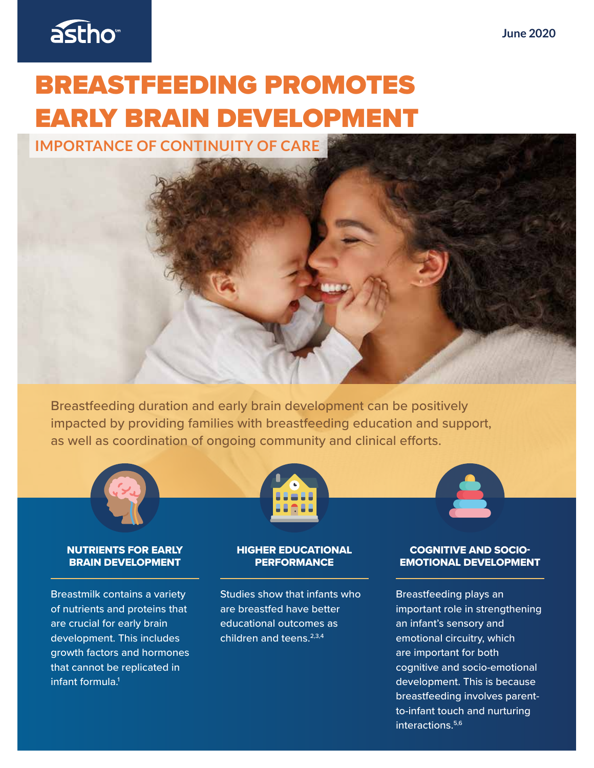

# BREASTFEEDING PROMOTES EARLY BRAIN DEVELOPMENT

**IMPORTANCE OF CONTINUITY OF CARE** 

Breastfeeding duration and early brain development can be positively impacted by providing families with breastfeeding education and support, as well as coordination of ongoing community and clinical efforts.



#### NUTRIENTS FOR EARLY BRAIN DEVELOPMENT

Breastmilk contains a variety of nutrients and proteins that are crucial for early brain development. This includes growth factors and hormones that cannot be replicated in infant formula.1



### HIGHER EDUCATIONAL **PERFORMANCE**

Studies show that infants who are breastfed have better educational outcomes as children and teens.2,3,4

#### COGNITIVE AND SOCIO-EMOTIONAL DEVELOPMENT

Breastfeeding plays an important role in strengthening an infant's sensory and emotional circuitry, which are important for both cognitive and socio-emotional development. This is because breastfeeding involves parentto-infant touch and nurturing interactions.<sup>5,6</sup>